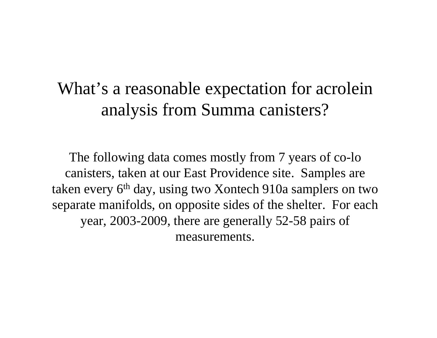### What's a reasonable expectation for acrolein analysis from Summa canisters?

The following data comes mostly from 7 years of co-lo canisters, taken at our East Providence site. Samples are taken every 6<sup>th</sup> day, using two Xontech 910a samplers on two separate manifolds, on opposite sides of the shelter. For each year, 2003-2009, there are generally 52-58 pairs of measurements.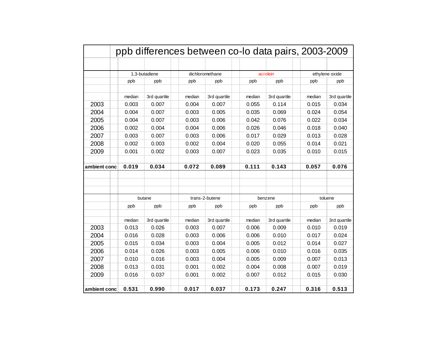| ppb differences between co-lo data pairs, 2003-2009 |        |               |        |                 |  |          |              |  |                |              |  |
|-----------------------------------------------------|--------|---------------|--------|-----------------|--|----------|--------------|--|----------------|--------------|--|
|                                                     |        |               |        |                 |  |          |              |  |                |              |  |
|                                                     |        | 1,3-butadiene |        | dichloromethane |  | acrolein |              |  | ethylene oxide |              |  |
|                                                     | ppb    | ppb           | ppb    | ppb             |  | ppb      | ppb          |  | ppb            | ppb          |  |
|                                                     |        |               |        |                 |  |          |              |  |                |              |  |
|                                                     | median | 3rd quartile  | median | 3rd quartile    |  | median   | 3rd quartile |  | median         | 3rd quartile |  |
| 2003                                                | 0.003  | 0.007         | 0.004  | 0.007           |  | 0.055    | 0.114        |  | 0.015          | 0.034        |  |
| 2004                                                | 0.004  | 0.007         | 0.003  | 0.005           |  | 0.035    | 0.069        |  | 0.024          | 0.054        |  |
| 2005                                                | 0.004  | 0.007         | 0.003  | 0.006           |  | 0.042    | 0.076        |  | 0.022          | 0.034        |  |
| 2006                                                | 0.002  | 0.004         | 0.004  | 0.006           |  | 0.026    | 0.046        |  | 0.018          | 0.040        |  |
| 2007                                                | 0.003  | 0.007         | 0.003  | 0.006           |  | 0.017    | 0.029        |  | 0.013          | 0.028        |  |
| 2008                                                | 0.002  | 0.003         | 0.002  | 0.004           |  | 0.020    | 0.055        |  | 0.014          | 0.021        |  |
| 2009                                                | 0.001  | 0.002         | 0.003  | 0.007           |  | 0.023    | 0.035        |  | 0.010          | 0.015        |  |
|                                                     |        |               |        |                 |  |          |              |  |                |              |  |
| ambient conc                                        | 0.019  | 0.034         | 0.072  | 0.089           |  | 0.111    | 0.143        |  | 0.057          | 0.076        |  |
|                                                     |        |               |        |                 |  |          |              |  |                |              |  |
|                                                     |        |               |        |                 |  |          |              |  |                |              |  |
|                                                     |        |               |        |                 |  |          |              |  |                |              |  |
|                                                     |        | butane        |        | trans-2-butene  |  | benzene  |              |  | toluene        |              |  |
|                                                     | ppb    | ppb           | ppb    | ppb             |  | ppb      | ppb          |  | ppb            | ppb          |  |
|                                                     | median | 3rd quartile  | median | 3rd quartile    |  | median   | 3rd quartile |  | median         | 3rd quartile |  |
| 2003                                                | 0.013  | 0.026         | 0.003  | 0.007           |  | 0.006    | 0.009        |  | 0.010          | 0.019        |  |
| 2004                                                | 0.016  | 0.028         | 0.003  | 0.006           |  | 0.006    | 0.010        |  | 0.017          | 0.024        |  |
| 2005                                                | 0.015  | 0.034         | 0.003  | 0.004           |  | 0.005    | 0.012        |  | 0.014          | 0.027        |  |
| 2006                                                | 0.014  | 0.026         | 0.003  | 0.005           |  | 0.006    | 0.010        |  | 0.016          | 0.035        |  |
| 2007                                                | 0.010  | 0.016         | 0.003  | 0.004           |  | 0.005    | 0.009        |  | 0.007          | 0.013        |  |
| 2008                                                | 0.013  | 0.031         | 0.001  | 0.002           |  | 0.004    | 0.008        |  | 0.007          | 0.019        |  |
| 2009                                                | 0.016  | 0.037         | 0.001  | 0.002           |  | 0.007    | 0.012        |  | 0.015          | 0.030        |  |
|                                                     |        |               |        |                 |  |          |              |  |                |              |  |
| ambient conc                                        | 0.531  | 0.990         | 0.017  | 0.037           |  | 0.173    | 0.247        |  | 0.316          | 0.513        |  |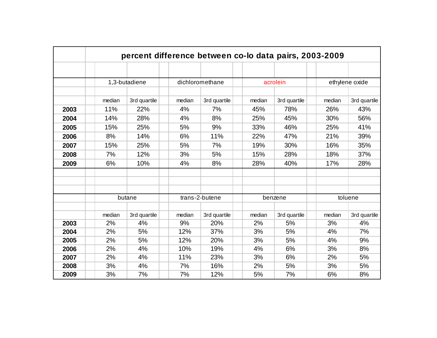| percent difference between co-lo data pairs, 2003-2009 |        |               |        |                 |  |          |              |  |                |              |  |
|--------------------------------------------------------|--------|---------------|--------|-----------------|--|----------|--------------|--|----------------|--------------|--|
|                                                        |        |               |        |                 |  |          |              |  |                |              |  |
|                                                        |        | 1,3-butadiene |        | dichloromethane |  | acrolein |              |  | ethylene oxide |              |  |
|                                                        |        |               |        |                 |  |          |              |  |                |              |  |
|                                                        | median | 3rd quartile  | median | 3rd quartile    |  | median   | 3rd quartile |  | median         | 3rd quartile |  |
| 2003                                                   | 11%    | 22%           | 4%     | 7%              |  | 45%      | 78%          |  | 26%            | 43%          |  |
| 2004                                                   | 14%    | 28%           | 4%     | 8%              |  | 25%      | 45%          |  | 30%            | 56%          |  |
| 2005                                                   | 15%    | 25%           | 5%     | 9%              |  | 33%      | 46%          |  | 25%            | 41%          |  |
| 2006                                                   | 8%     | 14%           | 6%     | 11%             |  | 22%      | 47%          |  | 21%            | 39%          |  |
| 2007                                                   | 15%    | 25%           | 5%     | 7%              |  | 19%      | 30%          |  | 16%            | 35%          |  |
| 2008                                                   | 7%     | 12%           | 3%     | 5%              |  | 15%      | 28%          |  | 18%            | 37%          |  |
| 2009                                                   | 6%     | 10%           | 4%     | 8%              |  | 28%      | 40%          |  | 17%            | 28%          |  |
|                                                        |        |               |        |                 |  |          |              |  |                |              |  |
|                                                        |        |               |        |                 |  |          |              |  |                |              |  |
|                                                        |        |               |        |                 |  |          |              |  |                |              |  |
|                                                        |        | butane        |        | trans-2-butene  |  | benzene  |              |  | toluene        |              |  |
|                                                        |        |               |        |                 |  |          |              |  |                |              |  |
|                                                        | median | 3rd quartile  | median | 3rd quartile    |  | median   | 3rd quartile |  | median         | 3rd quartile |  |
| 2003                                                   | 2%     | 4%            | 9%     | 20%             |  | 2%       | 5%           |  | 3%             | 4%           |  |
| 2004                                                   | 2%     | 5%            | 12%    | 37%             |  | 3%       | 5%           |  | 4%             | 7%           |  |
| 2005                                                   | 2%     | 5%            | 12%    | 20%             |  | 3%       | 5%           |  | 4%             | 9%           |  |
| 2006                                                   | 2%     | 4%            | 10%    | 19%             |  | 4%       | 6%           |  | 3%             | 8%           |  |
| 2007                                                   | 2%     | 4%            | 11%    | 23%             |  | 3%       | 6%           |  | 2%             | 5%           |  |
| 2008                                                   | 3%     | 4%            | 7%     | 16%             |  | 2%       | 5%           |  | 3%             | 5%           |  |
| 2009                                                   | 3%     | 7%            | 7%     | 12%             |  | 5%       | 7%           |  | 6%             | 8%           |  |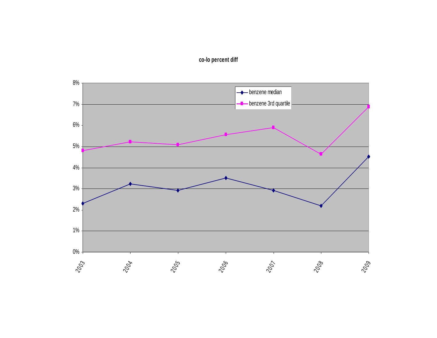

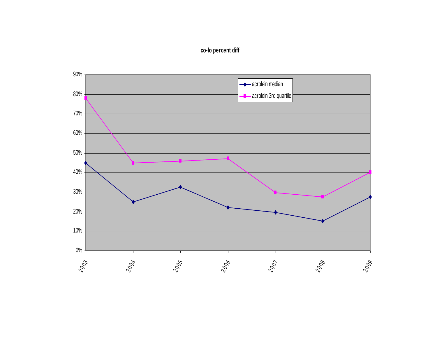### **co-lo percent diff**

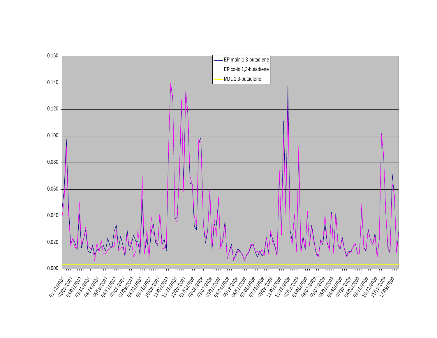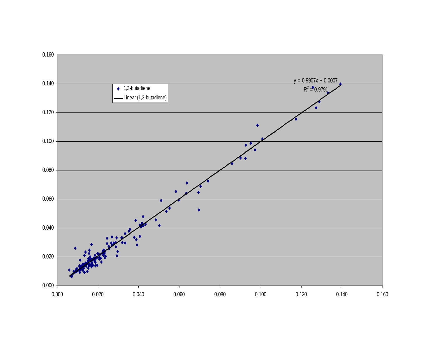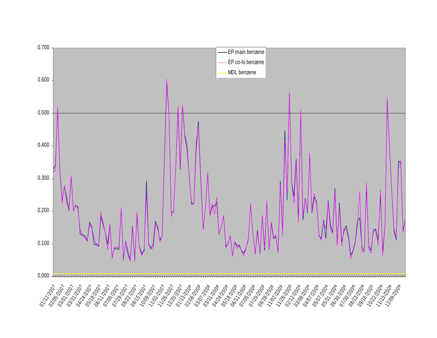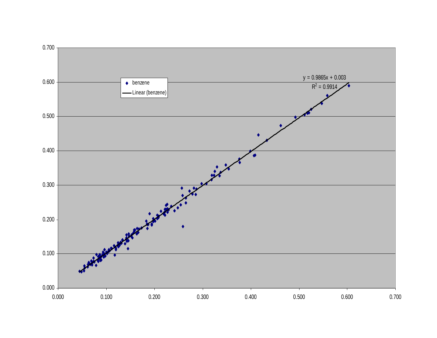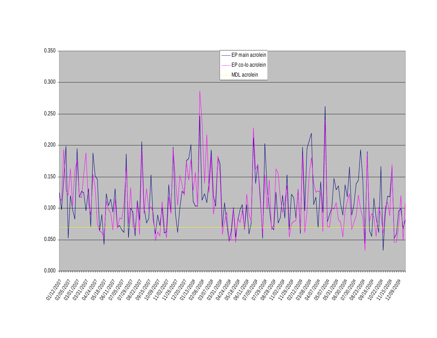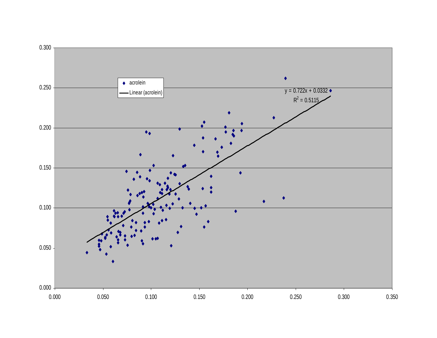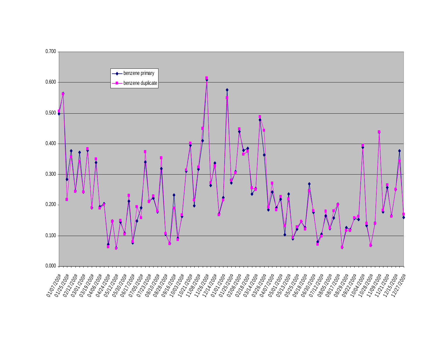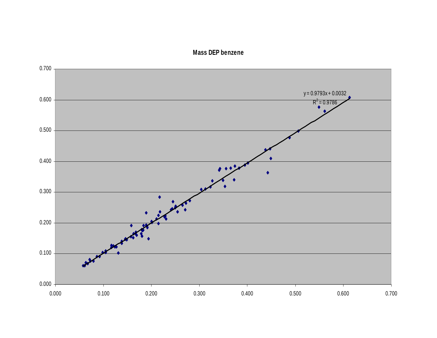#### **Mass DEP benzene**

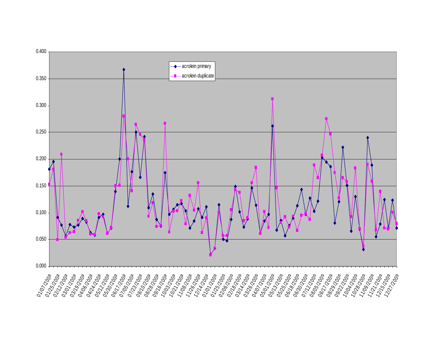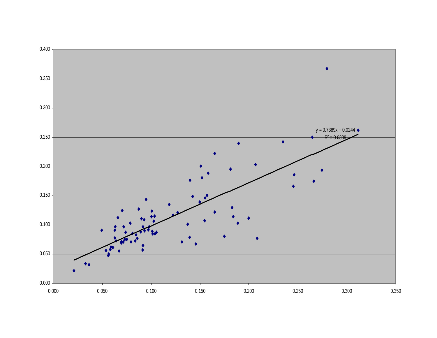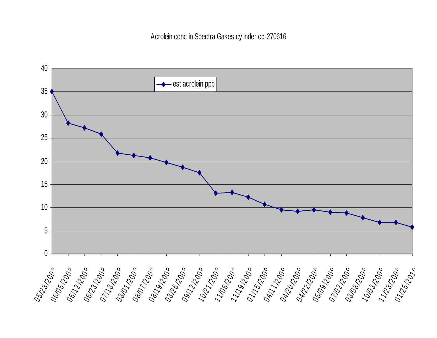Acrolein conc in Spectra Gases cylinder cc-270616

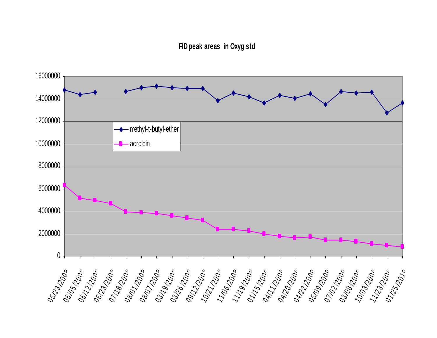#### **FID peak areas in Oxyg std**